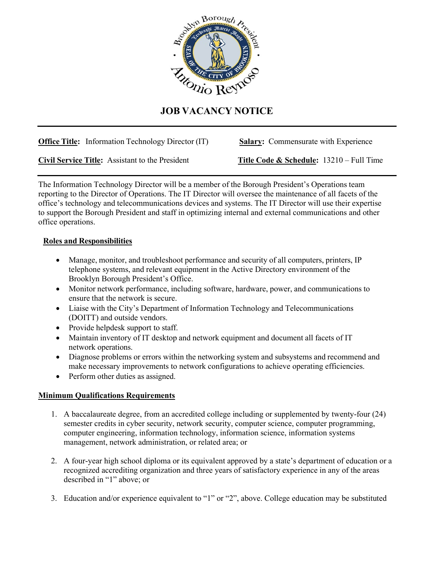

## **JOB VACANCY NOTICE**

**Office Title:** Information Technology Director (IT) **Salary:** Commensurate with Experience

**Civil Service Title:** Assistant to the President **Title Code & Schedule:** 13210 – Full Time

The Information Technology Director will be a member of the Borough President's Operations team reporting to the Director of Operations. The IT Director will oversee the maintenance of all facets of the office's technology and telecommunications devices and systems. The IT Director will use their expertise to support the Borough President and staff in optimizing internal and external communications and other office operations.

## **Roles and Responsibilities**

- Manage, monitor, and troubleshoot performance and security of all computers, printers, IP telephone systems, and relevant equipment in the Active Directory environment of the Brooklyn Borough President's Office.
- Monitor network performance, including software, hardware, power, and communications to ensure that the network is secure.
- Liaise with the City's Department of Information Technology and Telecommunications (DOITT) and outside vendors.
- Provide helpdesk support to staff.
- Maintain inventory of IT desktop and network equipment and document all facets of IT network operations.
- Diagnose problems or errors within the networking system and subsystems and recommend and make necessary improvements to network configurations to achieve operating efficiencies.
- Perform other duties as assigned.

## **Minimum Qualifications Requirements**

- 1. A baccalaureate degree, from an accredited college including or supplemented by twenty-four (24) semester credits in cyber security, network security, computer science, computer programming, computer engineering, information technology, information science, information systems management, network administration, or related area; or
- 2. A four-year high school diploma or its equivalent approved by a state's department of education or a recognized accrediting organization and three years of satisfactory experience in any of the areas described in "1" above; or
- 3. Education and/or experience equivalent to "1" or "2", above. College education may be substituted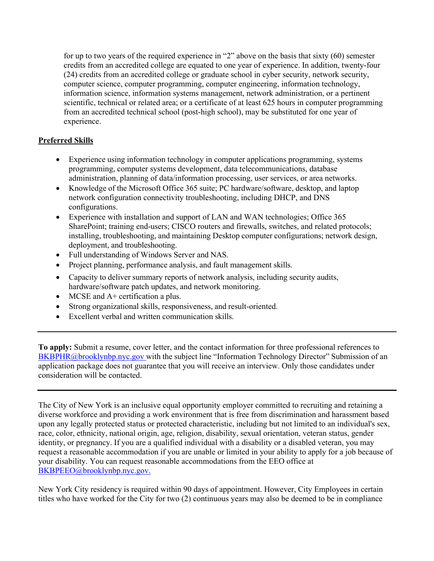for up to two years of the required experience in "2" above on the basis that sixty (60) semester credits from an accredited college are equated to one year of experience. In addition, twenty-four (24) credits from an accredited college or graduate school in cyber security, network security, computer science, computer programming, computer engineering, information technology, information science, information systems management, network administration, or a pertinent scientific, technical or related area; or a certificate of at least 625 hours in computer programming from an accredited technical school (post-high school), may be substituted for one year of experience.

## **Preferred Skills**

- Experience using information technology in computer applications programming, systems programming, computer systems development, data telecommunications, database administration, planning of data/information processing, user services, or area networks.
- Knowledge of the Microsoft Office 365 suite; PC hardware/software, desktop, and laptop network configuration connectivity troubleshooting, including DHCP, and DNS configurations.
- Experience with installation and support of LAN and WAN technologies; Office 365 SharePoint; training end-users; CISCO routers and firewalls, switches, and related protocols; installing, troubleshooting, and maintaining Desktop computer configurations; network design, deployment, and troubleshooting.
- Full understanding of Windows Server and NAS.
- Project planning, performance analysis, and fault management skills.
- Capacity to deliver summary reports of network analysis, including security audits, hardware/software patch updates, and network monitoring.
- MCSE and A+ certification a plus.
- Strong organizational skills, responsiveness, and result-oriented.
- Excellent verbal and written communication skills.

**To apply:** Submit a resume, cover letter, and the contact information for three professional references to [BKBPHR@brooklynbp.nyc.gov](mailto:HR@brooklynbp.nyc.gov) with the subject line "Information Technology Director" Submission of an application package does not guarantee that you will receive an interview. Only those candidates under consideration will be contacted.

The City of New York is an inclusive equal opportunity employer committed to recruiting and retaining a diverse workforce and providing a work environment that is free from discrimination and harassment based upon any legally protected status or protected characteristic, including but not limited to an individual's sex, race, color, ethnicity, national origin, age, religion, disability, sexual orientation, veteran status, gender identity, or pregnancy. If you are a qualified individual with a disability or a disabled veteran, you may request a reasonable accommodation if you are unable or limited in your ability to apply for a job because of your disability. You can request reasonable accommodations from the EEO office at [BKBPEEO@brooklynbp.nyc.gov.](mailto:EEO@brooklynbp.nyc.gov.)

New York City residency is required within 90 days of appointment. However, City Employees in certain titles who have worked for the City for two (2) continuous years may also be deemed to be in compliance